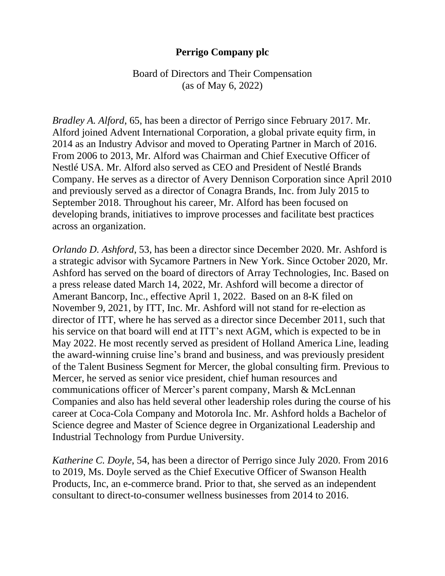## **Perrigo Company plc**

Board of Directors and Their Compensation (as of May 6, 2022)

*Bradley A. Alford*, 65, has been a director of Perrigo since February 2017. Mr. Alford joined Advent International Corporation, a global private equity firm, in 2014 as an Industry Advisor and moved to Operating Partner in March of 2016. From 2006 to 2013, Mr. Alford was Chairman and Chief Executive Officer of Nestlé USA. Mr. Alford also served as CEO and President of Nestlé Brands Company. He serves as a director of Avery Dennison Corporation since April 2010 and previously served as a director of Conagra Brands, Inc. from July 2015 to September 2018. Throughout his career, Mr. Alford has been focused on developing brands, initiatives to improve processes and facilitate best practices across an organization.

*Orlando D. Ashford*, 53, has been a director since December 2020. Mr. Ashford is a strategic advisor with Sycamore Partners in New York. Since October 2020, Mr. Ashford has served on the board of directors of Array Technologies, Inc. Based on a press release dated March 14, 2022, Mr. Ashford will become a director of Amerant Bancorp, Inc., effective April 1, 2022. Based on an 8-K filed on November 9, 2021, by ITT, Inc. Mr. Ashford will not stand for re-election as director of ITT, where he has served as a director since December 2011, such that his service on that board will end at ITT's next AGM, which is expected to be in May 2022. He most recently served as president of Holland America Line, leading the award-winning cruise line's brand and business, and was previously president of the Talent Business Segment for Mercer, the global consulting firm. Previous to Mercer, he served as senior vice president, chief human resources and communications officer of Mercer's parent company, Marsh & McLennan Companies and also has held several other leadership roles during the course of his career at Coca-Cola Company and Motorola Inc. Mr. Ashford holds a Bachelor of Science degree and Master of Science degree in Organizational Leadership and Industrial Technology from Purdue University.

*Katherine C. Doyle*, 54, has been a director of Perrigo since July 2020. From 2016 to 2019, Ms. Doyle served as the Chief Executive Officer of Swanson Health Products, Inc, an e-commerce brand. Prior to that, she served as an independent consultant to direct-to-consumer wellness businesses from 2014 to 2016.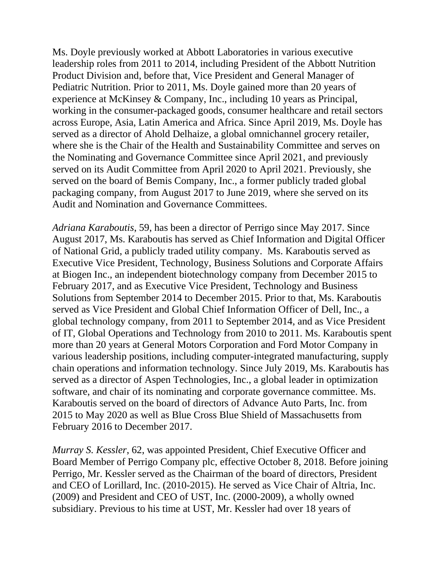Ms. Doyle previously worked at Abbott Laboratories in various executive leadership roles from 2011 to 2014, including President of the Abbott Nutrition Product Division and, before that, Vice President and General Manager of Pediatric Nutrition. Prior to 2011, Ms. Doyle gained more than 20 years of experience at McKinsey & Company, Inc., including 10 years as Principal, working in the consumer-packaged goods, consumer healthcare and retail sectors across Europe, Asia, Latin America and Africa. Since April 2019, Ms. Doyle has served as a director of Ahold Delhaize, a global omnichannel grocery retailer, where she is the Chair of the Health and Sustainability Committee and serves on the Nominating and Governance Committee since April 2021, and previously served on its Audit Committee from April 2020 to April 2021. Previously, she served on the board of Bemis Company, Inc., a former publicly traded global packaging company, from August 2017 to June 2019, where she served on its Audit and Nomination and Governance Committees.

*Adriana Karaboutis*, 59, has been a director of Perrigo since May 2017. Since August 2017, Ms. Karaboutis has served as Chief Information and Digital Officer of National Grid, a publicly traded utility company. Ms. Karaboutis served as Executive Vice President, Technology, Business Solutions and Corporate Affairs at Biogen Inc., an independent biotechnology company from December 2015 to February 2017, and as Executive Vice President, Technology and Business Solutions from September 2014 to December 2015. Prior to that, Ms. Karaboutis served as Vice President and Global Chief Information Officer of Dell, Inc., a global technology company, from 2011 to September 2014, and as Vice President of IT, Global Operations and Technology from 2010 to 2011. Ms. Karaboutis spent more than 20 years at General Motors Corporation and Ford Motor Company in various leadership positions, including computer-integrated manufacturing, supply chain operations and information technology. Since July 2019, Ms. Karaboutis has served as a director of Aspen Technologies, Inc., a global leader in optimization software, and chair of its nominating and corporate governance committee. Ms. Karaboutis served on the board of directors of Advance Auto Parts, Inc. from 2015 to May 2020 as well as Blue Cross Blue Shield of Massachusetts from February 2016 to December 2017.

*Murray S. Kessler*, 62, was appointed President, Chief Executive Officer and Board Member of Perrigo Company plc, effective October 8, 2018. Before joining Perrigo, Mr. Kessler served as the Chairman of the board of directors, President and CEO of Lorillard, Inc. (2010-2015). He served as Vice Chair of Altria, Inc. (2009) and President and CEO of UST, Inc. (2000-2009), a wholly owned subsidiary. Previous to his time at UST, Mr. Kessler had over 18 years of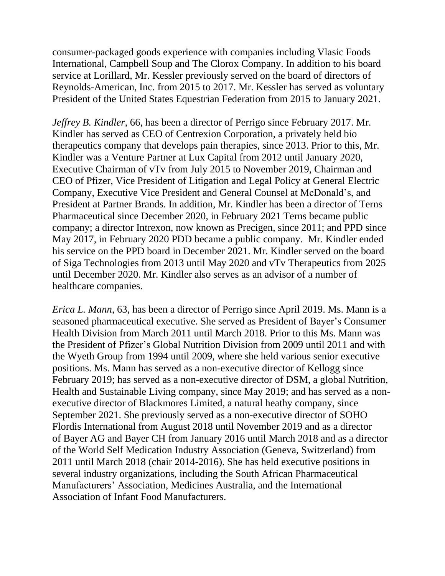consumer-packaged goods experience with companies including Vlasic Foods International, Campbell Soup and The Clorox Company. In addition to his board service at Lorillard, Mr. Kessler previously served on the board of directors of Reynolds-American, Inc. from 2015 to 2017. Mr. Kessler has served as voluntary President of the United States Equestrian Federation from 2015 to January 2021.

*Jeffrey B. Kindler*, 66, has been a director of Perrigo since February 2017. Mr. Kindler has served as CEO of Centrexion Corporation, a privately held bio therapeutics company that develops pain therapies, since 2013. Prior to this, Mr. Kindler was a Venture Partner at Lux Capital from 2012 until January 2020, Executive Chairman of vTv from July 2015 to November 2019, Chairman and CEO of Pfizer, Vice President of Litigation and Legal Policy at General Electric Company, Executive Vice President and General Counsel at McDonald's, and President at Partner Brands. In addition, Mr. Kindler has been a director of Terns Pharmaceutical since December 2020, in February 2021 Terns became public company; a director Intrexon, now known as Precigen, since 2011; and PPD since May 2017, in February 2020 PDD became a public company. Mr. Kindler ended his service on the PPD board in December 2021. Mr. Kindler served on the board of Siga Technologies from 2013 until May 2020 and vTv Therapeutics from 2025 until December 2020. Mr. Kindler also serves as an advisor of a number of healthcare companies.

*Erica L. Mann*, 63, has been a director of Perrigo since April 2019. Ms. Mann is a seasoned pharmaceutical executive. She served as President of Bayer's Consumer Health Division from March 2011 until March 2018. Prior to this Ms. Mann was the President of Pfizer's Global Nutrition Division from 2009 until 2011 and with the Wyeth Group from 1994 until 2009, where she held various senior executive positions. Ms. Mann has served as a non-executive director of Kellogg since February 2019; has served as a non-executive director of DSM, a global Nutrition, Health and Sustainable Living company, since May 2019; and has served as a nonexecutive director of Blackmores Limited, a natural heathy company, since September 2021. She previously served as a non-executive director of SOHO Flordis International from August 2018 until November 2019 and as a director of Bayer AG and Bayer CH from January 2016 until March 2018 and as a director of the World Self Medication Industry Association (Geneva, Switzerland) from 2011 until March 2018 (chair 2014-2016). She has held executive positions in several industry organizations, including the South African Pharmaceutical Manufacturers' Association, Medicines Australia, and the International Association of Infant Food Manufacturers.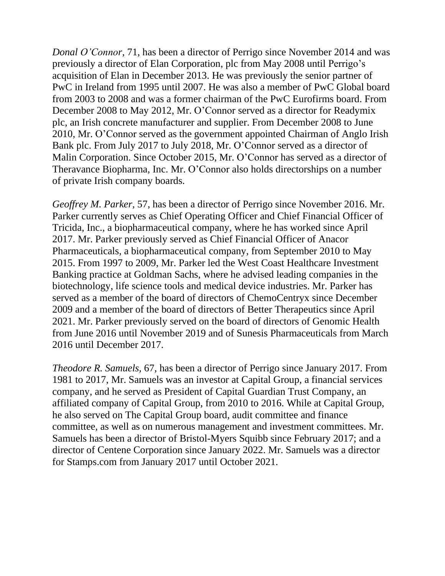*Donal O'Connor*, 71, has been a director of Perrigo since November 2014 and was previously a director of Elan Corporation, plc from May 2008 until Perrigo's acquisition of Elan in December 2013. He was previously the senior partner of PwC in Ireland from 1995 until 2007. He was also a member of PwC Global board from 2003 to 2008 and was a former chairman of the PwC Eurofirms board. From December 2008 to May 2012, Mr. O'Connor served as a director for Readymix plc, an Irish concrete manufacturer and supplier. From December 2008 to June 2010, Mr. O'Connor served as the government appointed Chairman of Anglo Irish Bank plc. From July 2017 to July 2018, Mr. O'Connor served as a director of Malin Corporation. Since October 2015, Mr. O'Connor has served as a director of Theravance Biopharma, Inc. Mr. O'Connor also holds directorships on a number of private Irish company boards.

*Geoffrey M. Parker,* 57, has been a director of Perrigo since November 2016. Mr. Parker currently serves as Chief Operating Officer and Chief Financial Officer of Tricida, Inc., a biopharmaceutical company, where he has worked since April 2017. Mr. Parker previously served as Chief Financial Officer of Anacor Pharmaceuticals, a biopharmaceutical company, from September 2010 to May 2015. From 1997 to 2009, Mr. Parker led the West Coast Healthcare Investment Banking practice at Goldman Sachs, where he advised leading companies in the biotechnology, life science tools and medical device industries. Mr. Parker has served as a member of the board of directors of ChemoCentryx since December 2009 and a member of the board of directors of Better Therapeutics since April 2021. Mr. Parker previously served on the board of directors of Genomic Health from June 2016 until November 2019 and of Sunesis Pharmaceuticals from March 2016 until December 2017.

*Theodore R. Samuels,* 67, has been a director of Perrigo since January 2017. From 1981 to 2017, Mr. Samuels was an investor at Capital Group, a financial services company, and he served as President of Capital Guardian Trust Company, an affiliated company of Capital Group, from 2010 to 2016. While at Capital Group, he also served on The Capital Group board, audit committee and finance committee, as well as on numerous management and investment committees. Mr. Samuels has been a director of Bristol-Myers Squibb since February 2017; and a director of Centene Corporation since January 2022. Mr. Samuels was a director for Stamps.com from January 2017 until October 2021.